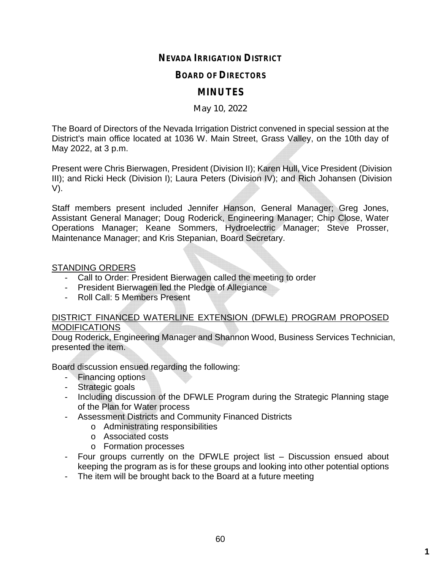# **NEVADA IRRIGATION DISTRICT**

## **BOARD OF DIRECTORS**

# **MINUTES**

#### May 10, 2022

The Board of Directors of the Nevada Irrigation District convened in special session at the District's main office located at 1036 W. Main Street, Grass Valley, on the 10th day of May 2022, at 3 p.m.

Present were Chris Bierwagen, President (Division II); Karen Hull, Vice President (Division III); and Ricki Heck (Division I); Laura Peters (Division IV); and Rich Johansen (Division V).

Staff members present included Jennifer Hanson, General Manager; Greg Jones, Assistant General Manager; Doug Roderick, Engineering Manager; Chip Close, Water Operations Manager; Keane Sommers, Hydroelectric Manager; Steve Prosser, Maintenance Manager; and Kris Stepanian, Board Secretary.

#### STANDING ORDERS

- Call to Order: President Bierwagen called the meeting to order
- President Bierwagen led the Pledge of Allegiance
- Roll Call: 5 Members Present

### DISTRICT FINANCED WATERLINE EXTENSION (DFWLE) PROGRAM PROPOSED **MODIFICATIONS**

Doug Roderick, Engineering Manager and Shannon Wood, Business Services Technician, presented the item.

Board discussion ensued regarding the following:

- Financing options
- Strategic goals
- Including discussion of the DFWLE Program during the Strategic Planning stage of the Plan for Water process
- Assessment Districts and Community Financed Districts
	- o Administrating responsibilities
	- o Associated costs
	- o Formation processes
- Four groups currently on the DFWLE project list Discussion ensued about keeping the program as is for these groups and looking into other potential options
- The item will be brought back to the Board at a future meeting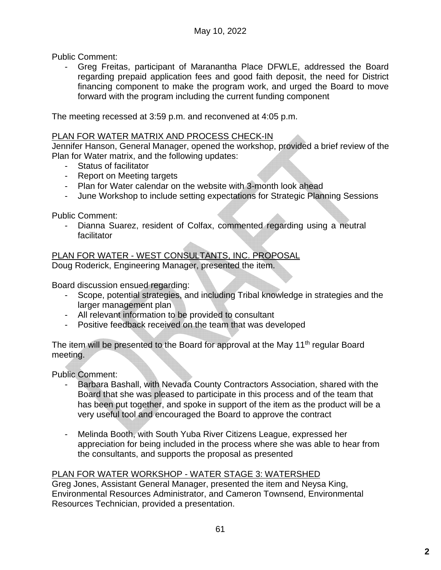Public Comment:

- Greg Freitas, participant of Maranantha Place DFWLE, addressed the Board regarding prepaid application fees and good faith deposit, the need for District financing component to make the program work, and urged the Board to move forward with the program including the current funding component

The meeting recessed at 3:59 p.m. and reconvened at 4:05 p.m.

## PLAN FOR WATER MATRIX AND PROCESS CHECK-IN

Jennifer Hanson, General Manager, opened the workshop, provided a brief review of the Plan for Water matrix, and the following updates:

- Status of facilitator
- Report on Meeting targets
- Plan for Water calendar on the website with 3-month look ahead
- June Workshop to include setting expectations for Strategic Planning Sessions

Public Comment:

- Dianna Suarez, resident of Colfax, commented regarding using a neutral facilitator

PLAN FOR WATER - WEST CONSULTANTS, INC. PROPOSAL

Doug Roderick, Engineering Manager, presented the item.

Board discussion ensued regarding:

- Scope, potential strategies, and including Tribal knowledge in strategies and the larger management plan
- All relevant information to be provided to consultant
- Positive feedback received on the team that was developed

The item will be presented to the Board for approval at the May 11<sup>th</sup> regular Board meeting.

Public Comment:

- Barbara Bashall, with Nevada County Contractors Association, shared with the Board that she was pleased to participate in this process and of the team that has been put together, and spoke in support of the item as the product will be a very useful tool and encouraged the Board to approve the contract
- Melinda Booth, with South Yuba River Citizens League, expressed her appreciation for being included in the process where she was able to hear from the consultants, and supports the proposal as presented

## PLAN FOR WATER WORKSHOP - WATER STAGE 3: WATERSHED

Greg Jones, Assistant General Manager, presented the item and Neysa King, Environmental Resources Administrator, and Cameron Townsend, Environmental Resources Technician, provided a presentation.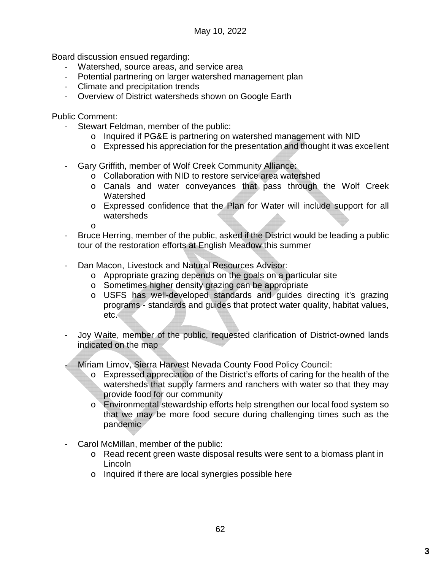Board discussion ensued regarding:

- Watershed, source areas, and service area
- Potential partnering on larger watershed management plan
- Climate and precipitation trends
- Overview of District watersheds shown on Google Earth

Public Comment:

- Stewart Feldman, member of the public:
	- o Inquired if PG&E is partnering on watershed management with NID
	- o Expressed his appreciation for the presentation and thought it was excellent
- Gary Griffith, member of Wolf Creek Community Alliance:
	- o Collaboration with NID to restore service area watershed
	- o Canals and water conveyances that pass through the Wolf Creek **Watershed**
	- o Expressed confidence that the Plan for Water will include support for all watersheds

o

- Bruce Herring, member of the public, asked if the District would be leading a public tour of the restoration efforts at English Meadow this summer
- Dan Macon, Livestock and Natural Resources Advisor:
	- o Appropriate grazing depends on the goals on a particular site
	- o Sometimes higher density grazing can be appropriate
	- o USFS has well-developed standards and guides directing it's grazing programs - standards and guides that protect water quality, habitat values, etc.
- Joy Waite, member of the public, requested clarification of District-owned lands indicated on the map
- Miriam Limov, Sierra Harvest Nevada County Food Policy Council:
	- o Expressed appreciation of the District's efforts of caring for the health of the watersheds that supply farmers and ranchers with water so that they may provide food for our community
	- o Environmental stewardship efforts help strengthen our local food system so that we may be more food secure during challenging times such as the pandemic
- Carol McMillan, member of the public:
	- o Read recent green waste disposal results were sent to a biomass plant in Lincoln
	- o Inquired if there are local synergies possible here